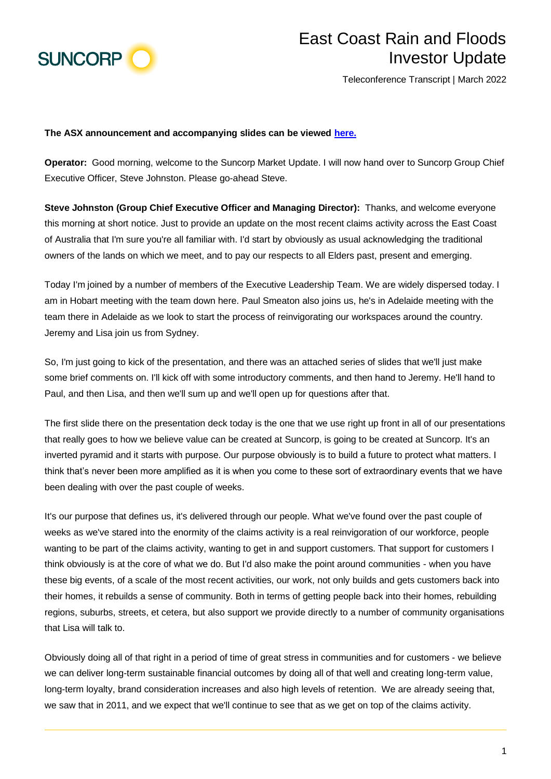

## East Coast Rain and Floods Investor Update

Teleconference Transcript | March 2022

## **The ASX announcement and accompanying slides can be viewed [here.](https://www.suncorpgroup.com.au/announcements-pdf/1635206)**

**Operator:** Good morning, welcome to the Suncorp Market Update. I will now hand over to Suncorp Group Chief Executive Officer, Steve Johnston. Please go-ahead Steve.

**Steve Johnston (Group Chief Executive Officer and Managing Director):** Thanks, and welcome everyone this morning at short notice. Just to provide an update on the most recent claims activity across the East Coast of Australia that I'm sure you're all familiar with. I'd start by obviously as usual acknowledging the traditional owners of the lands on which we meet, and to pay our respects to all Elders past, present and emerging.

Today I'm joined by a number of members of the Executive Leadership Team. We are widely dispersed today. I am in Hobart meeting with the team down here. Paul Smeaton also joins us, he's in Adelaide meeting with the team there in Adelaide as we look to start the process of reinvigorating our workspaces around the country. Jeremy and Lisa join us from Sydney.

So, I'm just going to kick of the presentation, and there was an attached series of slides that we'll just make some brief comments on. I'll kick off with some introductory comments, and then hand to Jeremy. He'll hand to Paul, and then Lisa, and then we'll sum up and we'll open up for questions after that.

The first slide there on the presentation deck today is the one that we use right up front in all of our presentations that really goes to how we believe value can be created at Suncorp, is going to be created at Suncorp. It's an inverted pyramid and it starts with purpose. Our purpose obviously is to build a future to protect what matters. I think that's never been more amplified as it is when you come to these sort of extraordinary events that we have been dealing with over the past couple of weeks.

It's our purpose that defines us, it's delivered through our people. What we've found over the past couple of weeks as we've stared into the enormity of the claims activity is a real reinvigoration of our workforce, people wanting to be part of the claims activity, wanting to get in and support customers. That support for customers I think obviously is at the core of what we do. But I'd also make the point around communities - when you have these big events, of a scale of the most recent activities, our work, not only builds and gets customers back into their homes, it rebuilds a sense of community. Both in terms of getting people back into their homes, rebuilding regions, suburbs, streets, et cetera, but also support we provide directly to a number of community organisations that Lisa will talk to.

Obviously doing all of that right in a period of time of great stress in communities and for customers - we believe we can deliver long-term sustainable financial outcomes by doing all of that well and creating long-term value, long-term loyalty, brand consideration increases and also high levels of retention. We are already seeing that, we saw that in 2011, and we expect that we'll continue to see that as we get on top of the claims activity.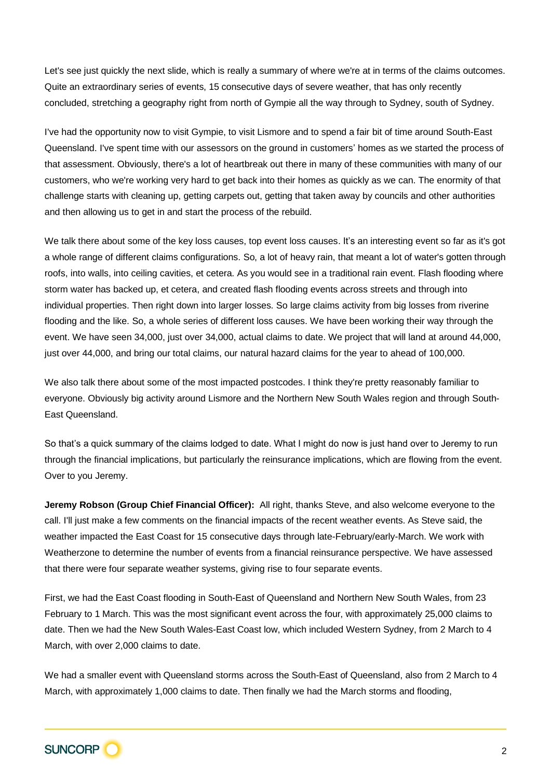Let's see just quickly the next slide, which is really a summary of where we're at in terms of the claims outcomes. Quite an extraordinary series of events, 15 consecutive days of severe weather, that has only recently concluded, stretching a geography right from north of Gympie all the way through to Sydney, south of Sydney.

I've had the opportunity now to visit Gympie, to visit Lismore and to spend a fair bit of time around South-East Queensland. I've spent time with our assessors on the ground in customers' homes as we started the process of that assessment. Obviously, there's a lot of heartbreak out there in many of these communities with many of our customers, who we're working very hard to get back into their homes as quickly as we can. The enormity of that challenge starts with cleaning up, getting carpets out, getting that taken away by councils and other authorities and then allowing us to get in and start the process of the rebuild.

We talk there about some of the key loss causes, top event loss causes. It's an interesting event so far as it's got a whole range of different claims configurations. So, a lot of heavy rain, that meant a lot of water's gotten through roofs, into walls, into ceiling cavities, et cetera. As you would see in a traditional rain event. Flash flooding where storm water has backed up, et cetera, and created flash flooding events across streets and through into individual properties. Then right down into larger losses. So large claims activity from big losses from riverine flooding and the like. So, a whole series of different loss causes. We have been working their way through the event. We have seen 34,000, just over 34,000, actual claims to date. We project that will land at around 44,000, just over 44,000, and bring our total claims, our natural hazard claims for the year to ahead of 100,000.

We also talk there about some of the most impacted postcodes. I think they're pretty reasonably familiar to everyone. Obviously big activity around Lismore and the Northern New South Wales region and through South-East Queensland.

So that's a quick summary of the claims lodged to date. What I might do now is just hand over to Jeremy to run through the financial implications, but particularly the reinsurance implications, which are flowing from the event. Over to you Jeremy.

**Jeremy Robson (Group Chief Financial Officer):** All right, thanks Steve, and also welcome everyone to the call. I'll just make a few comments on the financial impacts of the recent weather events. As Steve said, the weather impacted the East Coast for 15 consecutive days through late-February/early-March. We work with Weatherzone to determine the number of events from a financial reinsurance perspective. We have assessed that there were four separate weather systems, giving rise to four separate events.

First, we had the East Coast flooding in South-East of Queensland and Northern New South Wales, from 23 February to 1 March. This was the most significant event across the four, with approximately 25,000 claims to date. Then we had the New South Wales-East Coast low, which included Western Sydney, from 2 March to 4 March, with over 2,000 claims to date.

We had a smaller event with Queensland storms across the South-East of Queensland, also from 2 March to 4 March, with approximately 1,000 claims to date. Then finally we had the March storms and flooding,

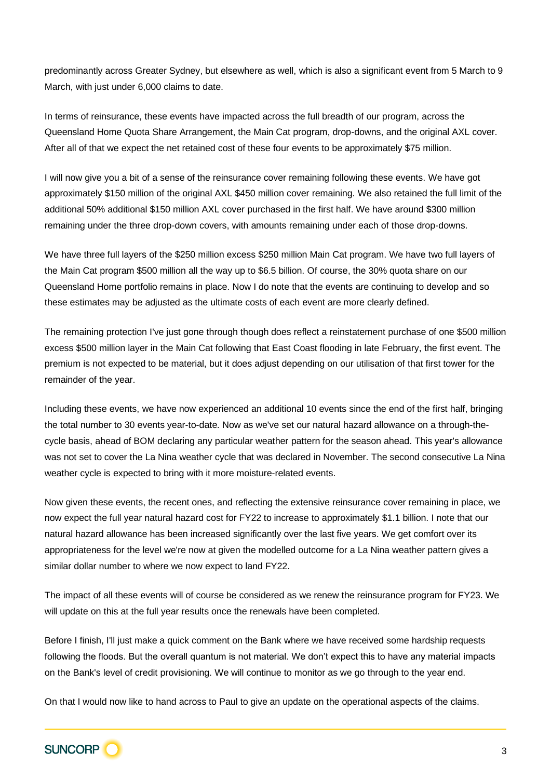predominantly across Greater Sydney, but elsewhere as well, which is also a significant event from 5 March to 9 March, with just under 6,000 claims to date.

In terms of reinsurance, these events have impacted across the full breadth of our program, across the Queensland Home Quota Share Arrangement, the Main Cat program, drop-downs, and the original AXL cover. After all of that we expect the net retained cost of these four events to be approximately \$75 million.

I will now give you a bit of a sense of the reinsurance cover remaining following these events. We have got approximately \$150 million of the original AXL \$450 million cover remaining. We also retained the full limit of the additional 50% additional \$150 million AXL cover purchased in the first half. We have around \$300 million remaining under the three drop-down covers, with amounts remaining under each of those drop-downs.

We have three full layers of the \$250 million excess \$250 million Main Cat program. We have two full layers of the Main Cat program \$500 million all the way up to \$6.5 billion. Of course, the 30% quota share on our Queensland Home portfolio remains in place. Now I do note that the events are continuing to develop and so these estimates may be adjusted as the ultimate costs of each event are more clearly defined.

The remaining protection I've just gone through though does reflect a reinstatement purchase of one \$500 million excess \$500 million layer in the Main Cat following that East Coast flooding in late February, the first event. The premium is not expected to be material, but it does adjust depending on our utilisation of that first tower for the remainder of the year.

Including these events, we have now experienced an additional 10 events since the end of the first half, bringing the total number to 30 events year-to-date. Now as we've set our natural hazard allowance on a through-thecycle basis, ahead of BOM declaring any particular weather pattern for the season ahead. This year's allowance was not set to cover the La Nina weather cycle that was declared in November. The second consecutive La Nina weather cycle is expected to bring with it more moisture-related events.

Now given these events, the recent ones, and reflecting the extensive reinsurance cover remaining in place, we now expect the full year natural hazard cost for FY22 to increase to approximately \$1.1 billion. I note that our natural hazard allowance has been increased significantly over the last five years. We get comfort over its appropriateness for the level we're now at given the modelled outcome for a La Nina weather pattern gives a similar dollar number to where we now expect to land FY22.

The impact of all these events will of course be considered as we renew the reinsurance program for FY23. We will update on this at the full year results once the renewals have been completed.

Before I finish, I'll just make a quick comment on the Bank where we have received some hardship requests following the floods. But the overall quantum is not material. We don't expect this to have any material impacts on the Bank's level of credit provisioning. We will continue to monitor as we go through to the year end.

On that I would now like to hand across to Paul to give an update on the operational aspects of the claims.

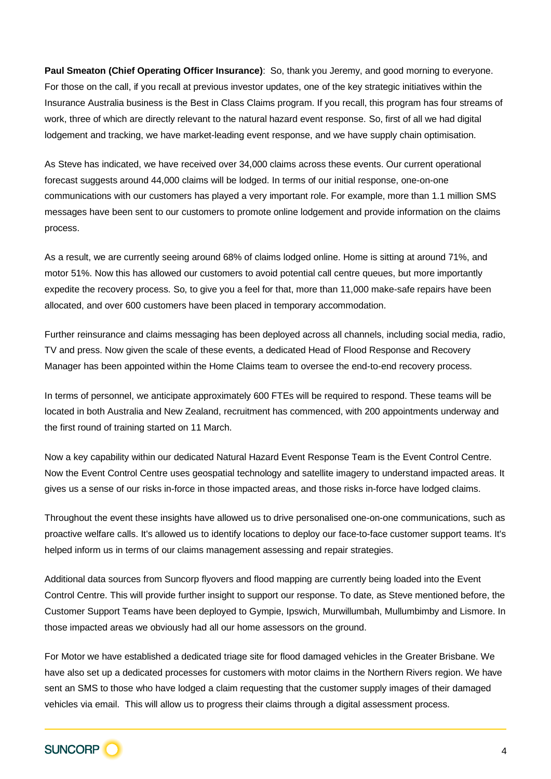**Paul Smeaton (Chief Operating Officer Insurance)**: So, thank you Jeremy, and good morning to everyone. For those on the call, if you recall at previous investor updates, one of the key strategic initiatives within the Insurance Australia business is the Best in Class Claims program. If you recall, this program has four streams of work, three of which are directly relevant to the natural hazard event response. So, first of all we had digital lodgement and tracking, we have market-leading event response, and we have supply chain optimisation.

As Steve has indicated, we have received over 34,000 claims across these events. Our current operational forecast suggests around 44,000 claims will be lodged. In terms of our initial response, one-on-one communications with our customers has played a very important role. For example, more than 1.1 million SMS messages have been sent to our customers to promote online lodgement and provide information on the claims process.

As a result, we are currently seeing around 68% of claims lodged online. Home is sitting at around 71%, and motor 51%. Now this has allowed our customers to avoid potential call centre queues, but more importantly expedite the recovery process. So, to give you a feel for that, more than 11,000 make-safe repairs have been allocated, and over 600 customers have been placed in temporary accommodation.

Further reinsurance and claims messaging has been deployed across all channels, including social media, radio, TV and press. Now given the scale of these events, a dedicated Head of Flood Response and Recovery Manager has been appointed within the Home Claims team to oversee the end-to-end recovery process.

In terms of personnel, we anticipate approximately 600 FTEs will be required to respond. These teams will be located in both Australia and New Zealand, recruitment has commenced, with 200 appointments underway and the first round of training started on 11 March.

Now a key capability within our dedicated Natural Hazard Event Response Team is the Event Control Centre. Now the Event Control Centre uses geospatial technology and satellite imagery to understand impacted areas. It gives us a sense of our risks in-force in those impacted areas, and those risks in-force have lodged claims.

Throughout the event these insights have allowed us to drive personalised one-on-one communications, such as proactive welfare calls. It's allowed us to identify locations to deploy our face-to-face customer support teams. It's helped inform us in terms of our claims management assessing and repair strategies.

Additional data sources from Suncorp flyovers and flood mapping are currently being loaded into the Event Control Centre. This will provide further insight to support our response. To date, as Steve mentioned before, the Customer Support Teams have been deployed to Gympie, Ipswich, Murwillumbah, Mullumbimby and Lismore. In those impacted areas we obviously had all our home assessors on the ground.

For Motor we have established a dedicated triage site for flood damaged vehicles in the Greater Brisbane. We have also set up a dedicated processes for customers with motor claims in the Northern Rivers region. We have sent an SMS to those who have lodged a claim requesting that the customer supply images of their damaged vehicles via email. This will allow us to progress their claims through a digital assessment process.

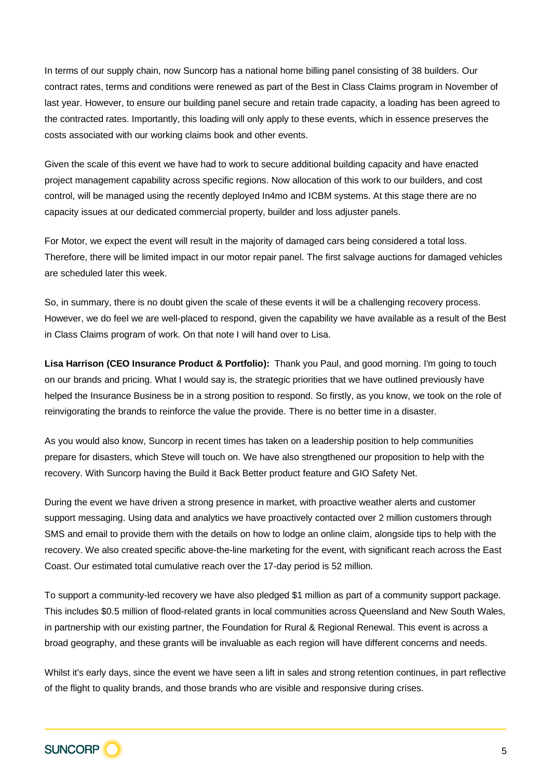In terms of our supply chain, now Suncorp has a national home billing panel consisting of 38 builders. Our contract rates, terms and conditions were renewed as part of the Best in Class Claims program in November of last year. However, to ensure our building panel secure and retain trade capacity, a loading has been agreed to the contracted rates. Importantly, this loading will only apply to these events, which in essence preserves the costs associated with our working claims book and other events.

Given the scale of this event we have had to work to secure additional building capacity and have enacted project management capability across specific regions. Now allocation of this work to our builders, and cost control, will be managed using the recently deployed In4mo and ICBM systems. At this stage there are no capacity issues at our dedicated commercial property, builder and loss adjuster panels.

For Motor, we expect the event will result in the majority of damaged cars being considered a total loss. Therefore, there will be limited impact in our motor repair panel. The first salvage auctions for damaged vehicles are scheduled later this week.

So, in summary, there is no doubt given the scale of these events it will be a challenging recovery process. However, we do feel we are well-placed to respond, given the capability we have available as a result of the Best in Class Claims program of work. On that note I will hand over to Lisa.

**Lisa Harrison (CEO Insurance Product & Portfolio):** Thank you Paul, and good morning. I'm going to touch on our brands and pricing. What I would say is, the strategic priorities that we have outlined previously have helped the Insurance Business be in a strong position to respond. So firstly, as you know, we took on the role of reinvigorating the brands to reinforce the value the provide. There is no better time in a disaster.

As you would also know, Suncorp in recent times has taken on a leadership position to help communities prepare for disasters, which Steve will touch on. We have also strengthened our proposition to help with the recovery. With Suncorp having the Build it Back Better product feature and GIO Safety Net.

During the event we have driven a strong presence in market, with proactive weather alerts and customer support messaging. Using data and analytics we have proactively contacted over 2 million customers through SMS and email to provide them with the details on how to lodge an online claim, alongside tips to help with the recovery. We also created specific above-the-line marketing for the event, with significant reach across the East Coast. Our estimated total cumulative reach over the 17-day period is 52 million.

To support a community-led recovery we have also pledged \$1 million as part of a community support package. This includes \$0.5 million of flood-related grants in local communities across Queensland and New South Wales, in partnership with our existing partner, the Foundation for Rural & Regional Renewal. This event is across a broad geography, and these grants will be invaluable as each region will have different concerns and needs.

Whilst it's early days, since the event we have seen a lift in sales and strong retention continues, in part reflective of the flight to quality brands, and those brands who are visible and responsive during crises.

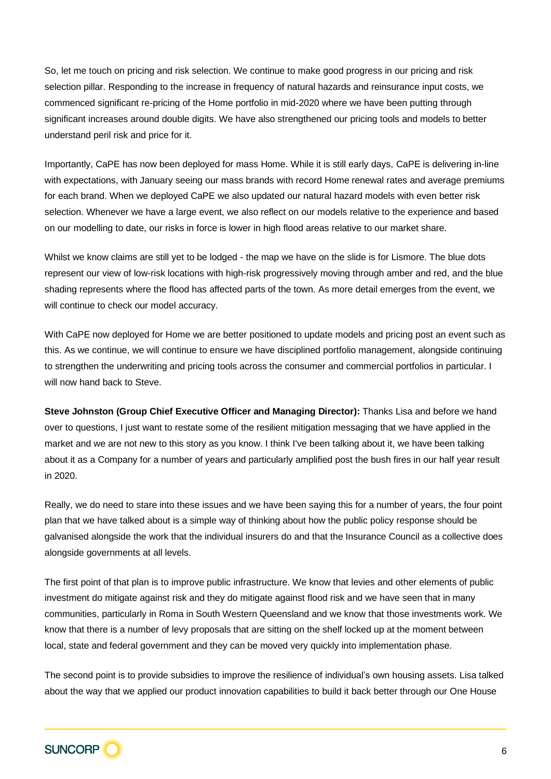So, let me touch on pricing and risk selection. We continue to make good progress in our pricing and risk selection pillar. Responding to the increase in frequency of natural hazards and reinsurance input costs, we commenced significant re-pricing of the Home portfolio in mid-2020 where we have been putting through significant increases around double digits. We have also strengthened our pricing tools and models to better understand peril risk and price for it.

Importantly, CaPE has now been deployed for mass Home. While it is still early days, CaPE is delivering in-line with expectations, with January seeing our mass brands with record Home renewal rates and average premiums for each brand. When we deployed CaPE we also updated our natural hazard models with even better risk selection. Whenever we have a large event, we also reflect on our models relative to the experience and based on our modelling to date, our risks in force is lower in high flood areas relative to our market share.

Whilst we know claims are still yet to be lodged - the map we have on the slide is for Lismore. The blue dots represent our view of low-risk locations with high-risk progressively moving through amber and red, and the blue shading represents where the flood has affected parts of the town. As more detail emerges from the event, we will continue to check our model accuracy.

With CaPE now deployed for Home we are better positioned to update models and pricing post an event such as this. As we continue, we will continue to ensure we have disciplined portfolio management, alongside continuing to strengthen the underwriting and pricing tools across the consumer and commercial portfolios in particular. I will now hand back to Steve.

**Steve Johnston (Group Chief Executive Officer and Managing Director):** Thanks Lisa and before we hand over to questions, I just want to restate some of the resilient mitigation messaging that we have applied in the market and we are not new to this story as you know. I think I've been talking about it, we have been talking about it as a Company for a number of years and particularly amplified post the bush fires in our half year result in 2020.

Really, we do need to stare into these issues and we have been saying this for a number of years, the four point plan that we have talked about is a simple way of thinking about how the public policy response should be galvanised alongside the work that the individual insurers do and that the Insurance Council as a collective does alongside governments at all levels.

The first point of that plan is to improve public infrastructure. We know that levies and other elements of public investment do mitigate against risk and they do mitigate against flood risk and we have seen that in many communities, particularly in Roma in South Western Queensland and we know that those investments work. We know that there is a number of levy proposals that are sitting on the shelf locked up at the moment between local, state and federal government and they can be moved very quickly into implementation phase.

The second point is to provide subsidies to improve the resilience of individual's own housing assets. Lisa talked about the way that we applied our product innovation capabilities to build it back better through our One House

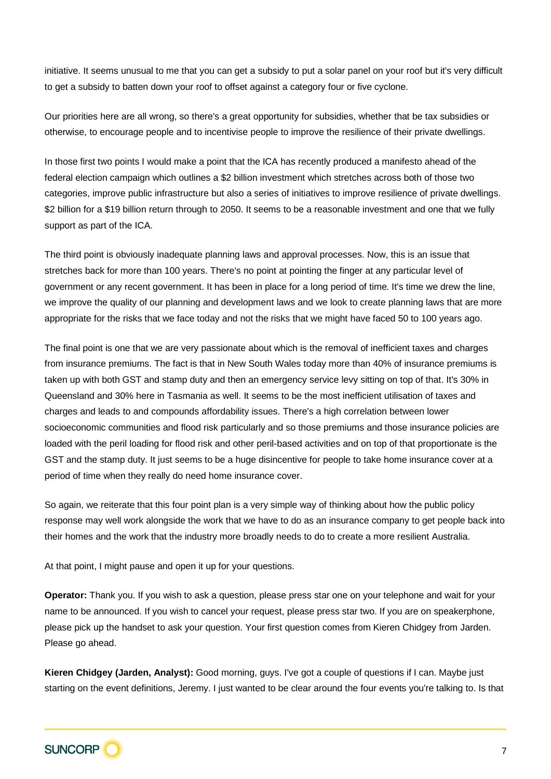initiative. It seems unusual to me that you can get a subsidy to put a solar panel on your roof but it's very difficult to get a subsidy to batten down your roof to offset against a category four or five cyclone.

Our priorities here are all wrong, so there's a great opportunity for subsidies, whether that be tax subsidies or otherwise, to encourage people and to incentivise people to improve the resilience of their private dwellings.

In those first two points I would make a point that the ICA has recently produced a manifesto ahead of the federal election campaign which outlines a \$2 billion investment which stretches across both of those two categories, improve public infrastructure but also a series of initiatives to improve resilience of private dwellings. \$2 billion for a \$19 billion return through to 2050. It seems to be a reasonable investment and one that we fully support as part of the ICA.

The third point is obviously inadequate planning laws and approval processes. Now, this is an issue that stretches back for more than 100 years. There's no point at pointing the finger at any particular level of government or any recent government. It has been in place for a long period of time. It's time we drew the line, we improve the quality of our planning and development laws and we look to create planning laws that are more appropriate for the risks that we face today and not the risks that we might have faced 50 to 100 years ago.

The final point is one that we are very passionate about which is the removal of inefficient taxes and charges from insurance premiums. The fact is that in New South Wales today more than 40% of insurance premiums is taken up with both GST and stamp duty and then an emergency service levy sitting on top of that. It's 30% in Queensland and 30% here in Tasmania as well. It seems to be the most inefficient utilisation of taxes and charges and leads to and compounds affordability issues. There's a high correlation between lower socioeconomic communities and flood risk particularly and so those premiums and those insurance policies are loaded with the peril loading for flood risk and other peril-based activities and on top of that proportionate is the GST and the stamp duty. It just seems to be a huge disincentive for people to take home insurance cover at a period of time when they really do need home insurance cover.

So again, we reiterate that this four point plan is a very simple way of thinking about how the public policy response may well work alongside the work that we have to do as an insurance company to get people back into their homes and the work that the industry more broadly needs to do to create a more resilient Australia.

At that point, I might pause and open it up for your questions.

**Operator:** Thank you. If you wish to ask a question, please press star one on your telephone and wait for your name to be announced. If you wish to cancel your request, please press star two. If you are on speakerphone, please pick up the handset to ask your question. Your first question comes from Kieren Chidgey from Jarden. Please go ahead.

**Kieren Chidgey (Jarden, Analyst):** Good morning, guys. I've got a couple of questions if I can. Maybe just starting on the event definitions, Jeremy. I just wanted to be clear around the four events you're talking to. Is that

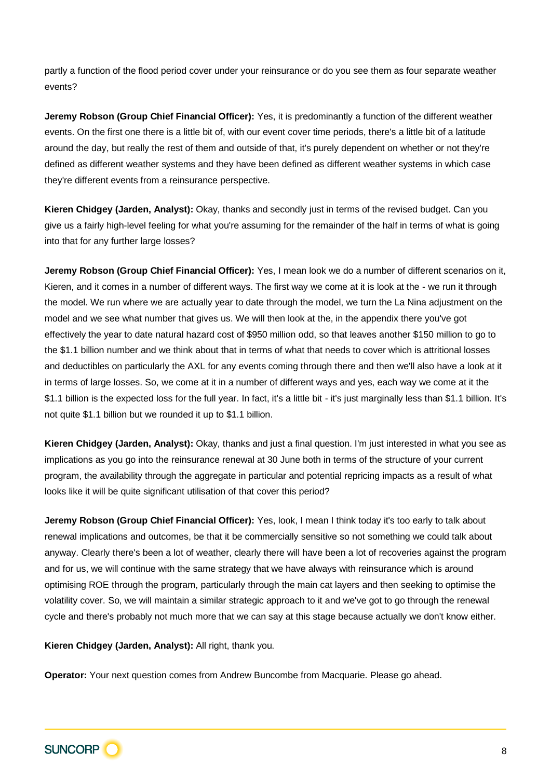partly a function of the flood period cover under your reinsurance or do you see them as four separate weather events?

**Jeremy Robson (Group Chief Financial Officer):** Yes, it is predominantly a function of the different weather events. On the first one there is a little bit of, with our event cover time periods, there's a little bit of a latitude around the day, but really the rest of them and outside of that, it's purely dependent on whether or not they're defined as different weather systems and they have been defined as different weather systems in which case they're different events from a reinsurance perspective.

**Kieren Chidgey (Jarden, Analyst):** Okay, thanks and secondly just in terms of the revised budget. Can you give us a fairly high-level feeling for what you're assuming for the remainder of the half in terms of what is going into that for any further large losses?

**Jeremy Robson (Group Chief Financial Officer):** Yes, I mean look we do a number of different scenarios on it, Kieren, and it comes in a number of different ways. The first way we come at it is look at the - we run it through the model. We run where we are actually year to date through the model, we turn the La Nina adjustment on the model and we see what number that gives us. We will then look at the, in the appendix there you've got effectively the year to date natural hazard cost of \$950 million odd, so that leaves another \$150 million to go to the \$1.1 billion number and we think about that in terms of what that needs to cover which is attritional losses and deductibles on particularly the AXL for any events coming through there and then we'll also have a look at it in terms of large losses. So, we come at it in a number of different ways and yes, each way we come at it the \$1.1 billion is the expected loss for the full year. In fact, it's a little bit - it's just marginally less than \$1.1 billion. It's not quite \$1.1 billion but we rounded it up to \$1.1 billion.

**Kieren Chidgey (Jarden, Analyst):** Okay, thanks and just a final question. I'm just interested in what you see as implications as you go into the reinsurance renewal at 30 June both in terms of the structure of your current program, the availability through the aggregate in particular and potential repricing impacts as a result of what looks like it will be quite significant utilisation of that cover this period?

**Jeremy Robson (Group Chief Financial Officer):** Yes, look, I mean I think today it's too early to talk about renewal implications and outcomes, be that it be commercially sensitive so not something we could talk about anyway. Clearly there's been a lot of weather, clearly there will have been a lot of recoveries against the program and for us, we will continue with the same strategy that we have always with reinsurance which is around optimising ROE through the program, particularly through the main cat layers and then seeking to optimise the volatility cover. So, we will maintain a similar strategic approach to it and we've got to go through the renewal cycle and there's probably not much more that we can say at this stage because actually we don't know either.

**Kieren Chidgey (Jarden, Analyst):** All right, thank you.

**Operator:** Your next question comes from Andrew Buncombe from Macquarie. Please go ahead.

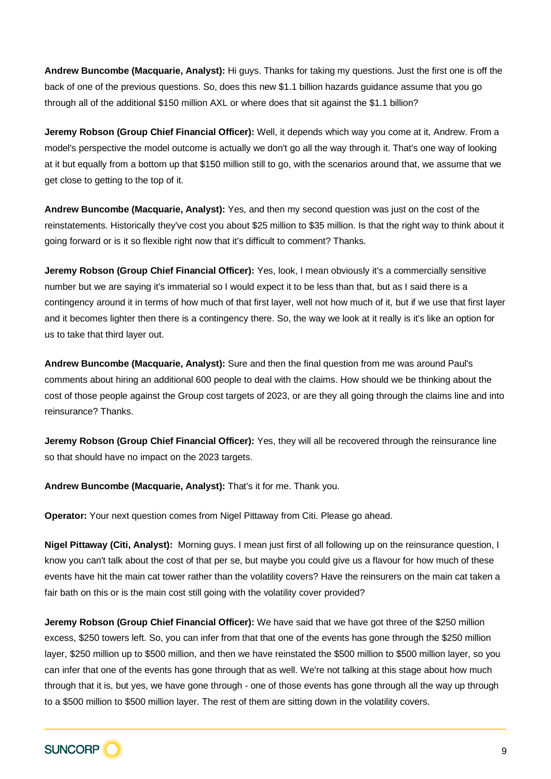**Andrew Buncombe (Macquarie, Analyst):** Hi guys. Thanks for taking my questions. Just the first one is off the back of one of the previous questions. So, does this new \$1.1 billion hazards guidance assume that you go through all of the additional \$150 million AXL or where does that sit against the \$1.1 billion?

**Jeremy Robson (Group Chief Financial Officer):** Well, it depends which way you come at it, Andrew. From a model's perspective the model outcome is actually we don't go all the way through it. That's one way of looking at it but equally from a bottom up that \$150 million still to go, with the scenarios around that, we assume that we get close to getting to the top of it.

**Andrew Buncombe (Macquarie, Analyst):** Yes, and then my second question was just on the cost of the reinstatements. Historically they've cost you about \$25 million to \$35 million. Is that the right way to think about it going forward or is it so flexible right now that it's difficult to comment? Thanks.

**Jeremy Robson (Group Chief Financial Officer):** Yes, look, I mean obviously it's a commercially sensitive number but we are saying it's immaterial so I would expect it to be less than that, but as I said there is a contingency around it in terms of how much of that first layer, well not how much of it, but if we use that first layer and it becomes lighter then there is a contingency there. So, the way we look at it really is it's like an option for us to take that third layer out.

**Andrew Buncombe (Macquarie, Analyst):** Sure and then the final question from me was around Paul's comments about hiring an additional 600 people to deal with the claims. How should we be thinking about the cost of those people against the Group cost targets of 2023, or are they all going through the claims line and into reinsurance? Thanks.

**Jeremy Robson (Group Chief Financial Officer):** Yes, they will all be recovered through the reinsurance line so that should have no impact on the 2023 targets.

**Andrew Buncombe (Macquarie, Analyst):** That's it for me. Thank you.

**Operator:** Your next question comes from Nigel Pittaway from Citi. Please go ahead.

**Nigel Pittaway (Citi, Analyst):** Morning guys. I mean just first of all following up on the reinsurance question, I know you can't talk about the cost of that per se, but maybe you could give us a flavour for how much of these events have hit the main cat tower rather than the volatility covers? Have the reinsurers on the main cat taken a fair bath on this or is the main cost still going with the volatility cover provided?

**Jeremy Robson (Group Chief Financial Officer):** We have said that we have got three of the \$250 million excess, \$250 towers left. So, you can infer from that that one of the events has gone through the \$250 million layer, \$250 million up to \$500 million, and then we have reinstated the \$500 million to \$500 million layer, so you can infer that one of the events has gone through that as well. We're not talking at this stage about how much through that it is, but yes, we have gone through - one of those events has gone through all the way up through to a \$500 million to \$500 million layer. The rest of them are sitting down in the volatility covers.

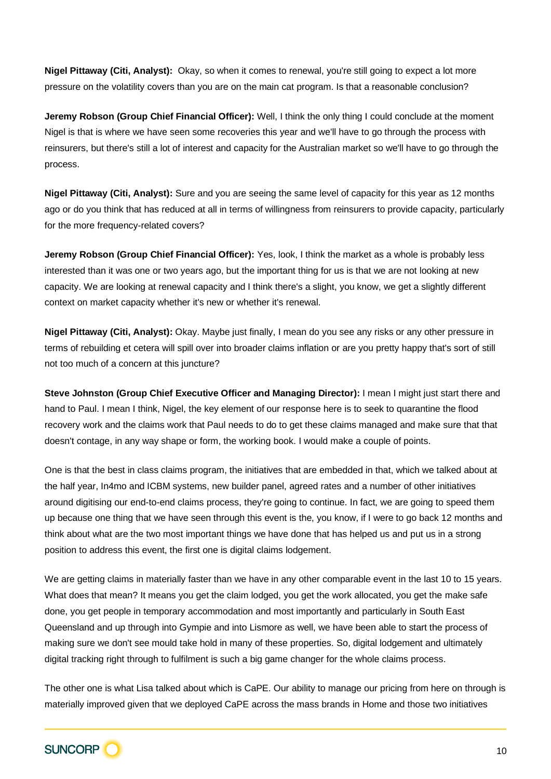**Nigel Pittaway (Citi, Analyst):** Okay, so when it comes to renewal, you're still going to expect a lot more pressure on the volatility covers than you are on the main cat program. Is that a reasonable conclusion?

**Jeremy Robson (Group Chief Financial Officer):** Well, I think the only thing I could conclude at the moment Nigel is that is where we have seen some recoveries this year and we'll have to go through the process with reinsurers, but there's still a lot of interest and capacity for the Australian market so we'll have to go through the process.

**Nigel Pittaway (Citi, Analyst):** Sure and you are seeing the same level of capacity for this year as 12 months ago or do you think that has reduced at all in terms of willingness from reinsurers to provide capacity, particularly for the more frequency-related covers?

**Jeremy Robson (Group Chief Financial Officer):** Yes, look, I think the market as a whole is probably less interested than it was one or two years ago, but the important thing for us is that we are not looking at new capacity. We are looking at renewal capacity and I think there's a slight, you know, we get a slightly different context on market capacity whether it's new or whether it's renewal.

**Nigel Pittaway (Citi, Analyst):** Okay. Maybe just finally, I mean do you see any risks or any other pressure in terms of rebuilding et cetera will spill over into broader claims inflation or are you pretty happy that's sort of still not too much of a concern at this juncture?

**Steve Johnston (Group Chief Executive Officer and Managing Director):** I mean I might just start there and hand to Paul. I mean I think, Nigel, the key element of our response here is to seek to quarantine the flood recovery work and the claims work that Paul needs to do to get these claims managed and make sure that that doesn't contage, in any way shape or form, the working book. I would make a couple of points.

One is that the best in class claims program, the initiatives that are embedded in that, which we talked about at the half year, In4mo and ICBM systems, new builder panel, agreed rates and a number of other initiatives around digitising our end-to-end claims process, they're going to continue. In fact, we are going to speed them up because one thing that we have seen through this event is the, you know, if I were to go back 12 months and think about what are the two most important things we have done that has helped us and put us in a strong position to address this event, the first one is digital claims lodgement.

We are getting claims in materially faster than we have in any other comparable event in the last 10 to 15 years. What does that mean? It means you get the claim lodged, you get the work allocated, you get the make safe done, you get people in temporary accommodation and most importantly and particularly in South East Queensland and up through into Gympie and into Lismore as well, we have been able to start the process of making sure we don't see mould take hold in many of these properties. So, digital lodgement and ultimately digital tracking right through to fulfilment is such a big game changer for the whole claims process.

The other one is what Lisa talked about which is CaPE. Our ability to manage our pricing from here on through is materially improved given that we deployed CaPE across the mass brands in Home and those two initiatives

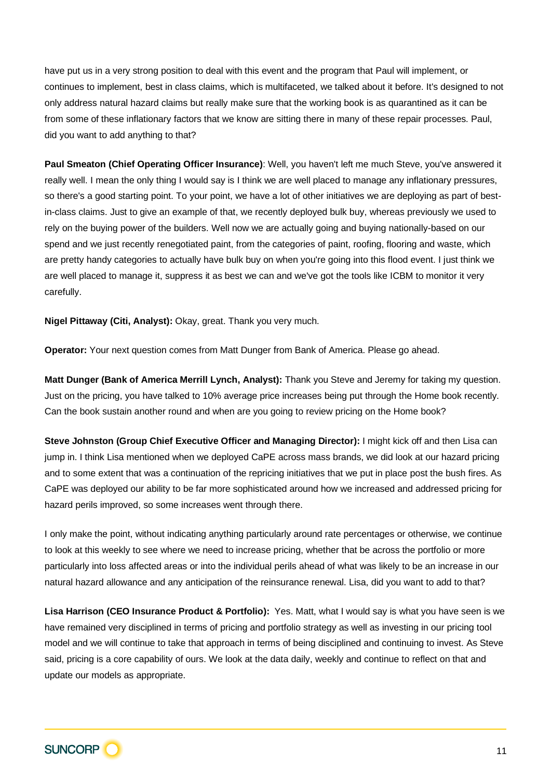have put us in a very strong position to deal with this event and the program that Paul will implement, or continues to implement, best in class claims, which is multifaceted, we talked about it before. It's designed to not only address natural hazard claims but really make sure that the working book is as quarantined as it can be from some of these inflationary factors that we know are sitting there in many of these repair processes. Paul, did you want to add anything to that?

**Paul Smeaton (Chief Operating Officer Insurance)**: Well, you haven't left me much Steve, you've answered it really well. I mean the only thing I would say is I think we are well placed to manage any inflationary pressures, so there's a good starting point. To your point, we have a lot of other initiatives we are deploying as part of bestin-class claims. Just to give an example of that, we recently deployed bulk buy, whereas previously we used to rely on the buying power of the builders. Well now we are actually going and buying nationally-based on our spend and we just recently renegotiated paint, from the categories of paint, roofing, flooring and waste, which are pretty handy categories to actually have bulk buy on when you're going into this flood event. I just think we are well placed to manage it, suppress it as best we can and we've got the tools like ICBM to monitor it very carefully.

**Nigel Pittaway (Citi, Analyst):** Okay, great. Thank you very much.

**Operator:** Your next question comes from Matt Dunger from Bank of America. Please go ahead.

**Matt Dunger (Bank of America Merrill Lynch, Analyst):** Thank you Steve and Jeremy for taking my question. Just on the pricing, you have talked to 10% average price increases being put through the Home book recently. Can the book sustain another round and when are you going to review pricing on the Home book?

**Steve Johnston (Group Chief Executive Officer and Managing Director):** I might kick off and then Lisa can jump in. I think Lisa mentioned when we deployed CaPE across mass brands, we did look at our hazard pricing and to some extent that was a continuation of the repricing initiatives that we put in place post the bush fires. As CaPE was deployed our ability to be far more sophisticated around how we increased and addressed pricing for hazard perils improved, so some increases went through there.

I only make the point, without indicating anything particularly around rate percentages or otherwise, we continue to look at this weekly to see where we need to increase pricing, whether that be across the portfolio or more particularly into loss affected areas or into the individual perils ahead of what was likely to be an increase in our natural hazard allowance and any anticipation of the reinsurance renewal. Lisa, did you want to add to that?

**Lisa Harrison (CEO Insurance Product & Portfolio):** Yes. Matt, what I would say is what you have seen is we have remained very disciplined in terms of pricing and portfolio strategy as well as investing in our pricing tool model and we will continue to take that approach in terms of being disciplined and continuing to invest. As Steve said, pricing is a core capability of ours. We look at the data daily, weekly and continue to reflect on that and update our models as appropriate.

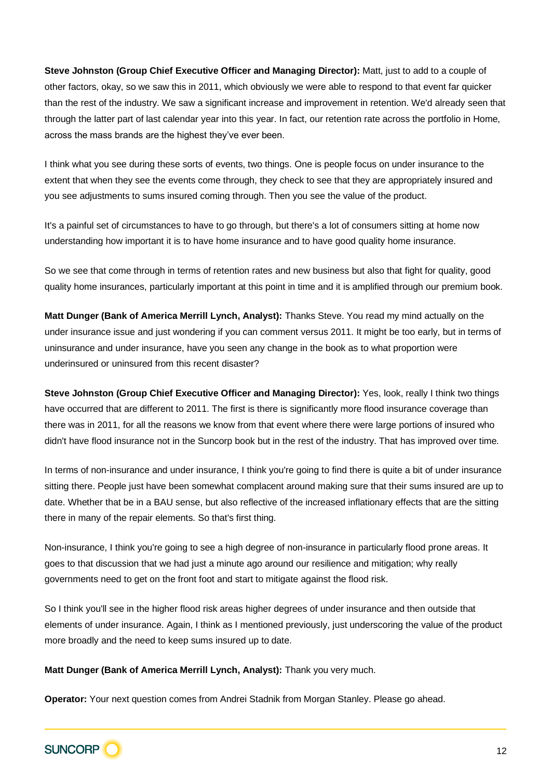**Steve Johnston (Group Chief Executive Officer and Managing Director):** Matt, just to add to a couple of other factors, okay, so we saw this in 2011, which obviously we were able to respond to that event far quicker than the rest of the industry. We saw a significant increase and improvement in retention. We'd already seen that through the latter part of last calendar year into this year. In fact, our retention rate across the portfolio in Home, across the mass brands are the highest they've ever been.

I think what you see during these sorts of events, two things. One is people focus on under insurance to the extent that when they see the events come through, they check to see that they are appropriately insured and you see adjustments to sums insured coming through. Then you see the value of the product.

It's a painful set of circumstances to have to go through, but there's a lot of consumers sitting at home now understanding how important it is to have home insurance and to have good quality home insurance.

So we see that come through in terms of retention rates and new business but also that fight for quality, good quality home insurances, particularly important at this point in time and it is amplified through our premium book.

**Matt Dunger (Bank of America Merrill Lynch, Analyst):** Thanks Steve. You read my mind actually on the under insurance issue and just wondering if you can comment versus 2011. It might be too early, but in terms of uninsurance and under insurance, have you seen any change in the book as to what proportion were underinsured or uninsured from this recent disaster?

**Steve Johnston (Group Chief Executive Officer and Managing Director):** Yes, look, really I think two things have occurred that are different to 2011. The first is there is significantly more flood insurance coverage than there was in 2011, for all the reasons we know from that event where there were large portions of insured who didn't have flood insurance not in the Suncorp book but in the rest of the industry. That has improved over time.

In terms of non-insurance and under insurance, I think you're going to find there is quite a bit of under insurance sitting there. People just have been somewhat complacent around making sure that their sums insured are up to date. Whether that be in a BAU sense, but also reflective of the increased inflationary effects that are the sitting there in many of the repair elements. So that's first thing.

Non-insurance, I think you're going to see a high degree of non-insurance in particularly flood prone areas. It goes to that discussion that we had just a minute ago around our resilience and mitigation; why really governments need to get on the front foot and start to mitigate against the flood risk.

So I think you'll see in the higher flood risk areas higher degrees of under insurance and then outside that elements of under insurance. Again, I think as I mentioned previously, just underscoring the value of the product more broadly and the need to keep sums insured up to date.

**Matt Dunger (Bank of America Merrill Lynch, Analyst):** Thank you very much.

**Operator:** Your next question comes from Andrei Stadnik from Morgan Stanley. Please go ahead.

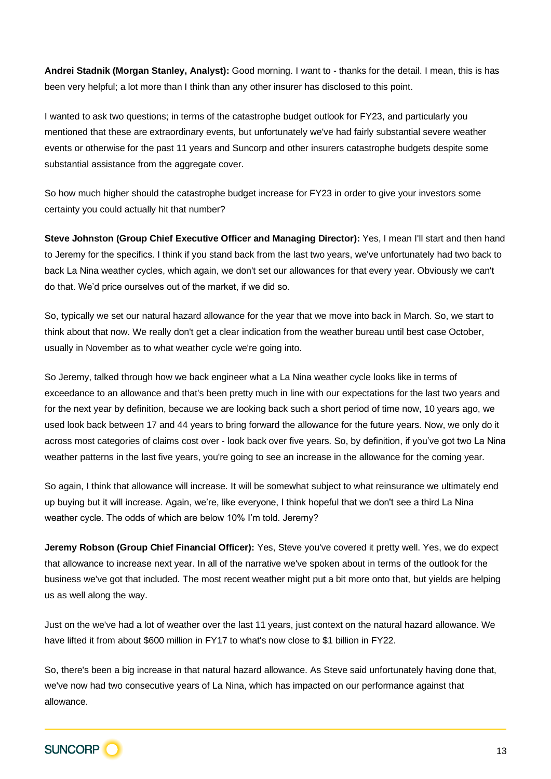**Andrei Stadnik (Morgan Stanley, Analyst):** Good morning. I want to - thanks for the detail. I mean, this is has been very helpful; a lot more than I think than any other insurer has disclosed to this point.

I wanted to ask two questions; in terms of the catastrophe budget outlook for FY23, and particularly you mentioned that these are extraordinary events, but unfortunately we've had fairly substantial severe weather events or otherwise for the past 11 years and Suncorp and other insurers catastrophe budgets despite some substantial assistance from the aggregate cover.

So how much higher should the catastrophe budget increase for FY23 in order to give your investors some certainty you could actually hit that number?

**Steve Johnston (Group Chief Executive Officer and Managing Director):** Yes, I mean I'll start and then hand to Jeremy for the specifics. I think if you stand back from the last two years, we've unfortunately had two back to back La Nina weather cycles, which again, we don't set our allowances for that every year. Obviously we can't do that. We'd price ourselves out of the market, if we did so.

So, typically we set our natural hazard allowance for the year that we move into back in March. So, we start to think about that now. We really don't get a clear indication from the weather bureau until best case October, usually in November as to what weather cycle we're going into.

So Jeremy, talked through how we back engineer what a La Nina weather cycle looks like in terms of exceedance to an allowance and that's been pretty much in line with our expectations for the last two years and for the next year by definition, because we are looking back such a short period of time now, 10 years ago, we used look back between 17 and 44 years to bring forward the allowance for the future years. Now, we only do it across most categories of claims cost over - look back over five years. So, by definition, if you've got two La Nina weather patterns in the last five years, you're going to see an increase in the allowance for the coming year.

So again, I think that allowance will increase. It will be somewhat subject to what reinsurance we ultimately end up buying but it will increase. Again, we're, like everyone, I think hopeful that we don't see a third La Nina weather cycle. The odds of which are below 10% I'm told. Jeremy?

**Jeremy Robson (Group Chief Financial Officer):** Yes, Steve you've covered it pretty well. Yes, we do expect that allowance to increase next year. In all of the narrative we've spoken about in terms of the outlook for the business we've got that included. The most recent weather might put a bit more onto that, but yields are helping us as well along the way.

Just on the we've had a lot of weather over the last 11 years, just context on the natural hazard allowance. We have lifted it from about \$600 million in FY17 to what's now close to \$1 billion in FY22.

So, there's been a big increase in that natural hazard allowance. As Steve said unfortunately having done that, we've now had two consecutive years of La Nina, which has impacted on our performance against that allowance.

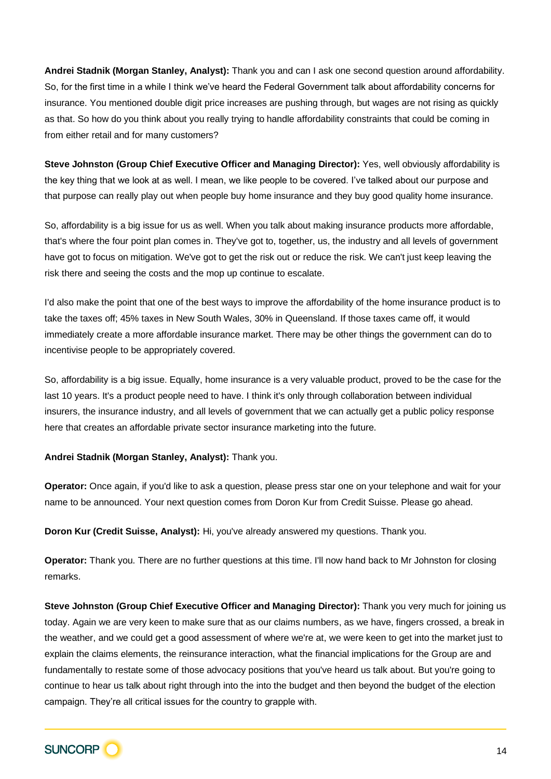**Andrei Stadnik (Morgan Stanley, Analyst):** Thank you and can I ask one second question around affordability. So, for the first time in a while I think we've heard the Federal Government talk about affordability concerns for insurance. You mentioned double digit price increases are pushing through, but wages are not rising as quickly as that. So how do you think about you really trying to handle affordability constraints that could be coming in from either retail and for many customers?

**Steve Johnston (Group Chief Executive Officer and Managing Director):** Yes, well obviously affordability is the key thing that we look at as well. I mean, we like people to be covered. I've talked about our purpose and that purpose can really play out when people buy home insurance and they buy good quality home insurance.

So, affordability is a big issue for us as well. When you talk about making insurance products more affordable, that's where the four point plan comes in. They've got to, together, us, the industry and all levels of government have got to focus on mitigation. We've got to get the risk out or reduce the risk. We can't just keep leaving the risk there and seeing the costs and the mop up continue to escalate.

I'd also make the point that one of the best ways to improve the affordability of the home insurance product is to take the taxes off; 45% taxes in New South Wales, 30% in Queensland. If those taxes came off, it would immediately create a more affordable insurance market. There may be other things the government can do to incentivise people to be appropriately covered.

So, affordability is a big issue. Equally, home insurance is a very valuable product, proved to be the case for the last 10 years. It's a product people need to have. I think it's only through collaboration between individual insurers, the insurance industry, and all levels of government that we can actually get a public policy response here that creates an affordable private sector insurance marketing into the future.

## **Andrei Stadnik (Morgan Stanley, Analyst):** Thank you.

**Operator:** Once again, if you'd like to ask a question, please press star one on your telephone and wait for your name to be announced. Your next question comes from Doron Kur from Credit Suisse. Please go ahead.

**Doron Kur (Credit Suisse, Analyst):** Hi, you've already answered my questions. Thank you.

**Operator:** Thank you. There are no further questions at this time. I'll now hand back to Mr Johnston for closing remarks.

**Steve Johnston (Group Chief Executive Officer and Managing Director):** Thank you very much for joining us today. Again we are very keen to make sure that as our claims numbers, as we have, fingers crossed, a break in the weather, and we could get a good assessment of where we're at, we were keen to get into the market just to explain the claims elements, the reinsurance interaction, what the financial implications for the Group are and fundamentally to restate some of those advocacy positions that you've heard us talk about. But you're going to continue to hear us talk about right through into the into the budget and then beyond the budget of the election campaign. They're all critical issues for the country to grapple with.